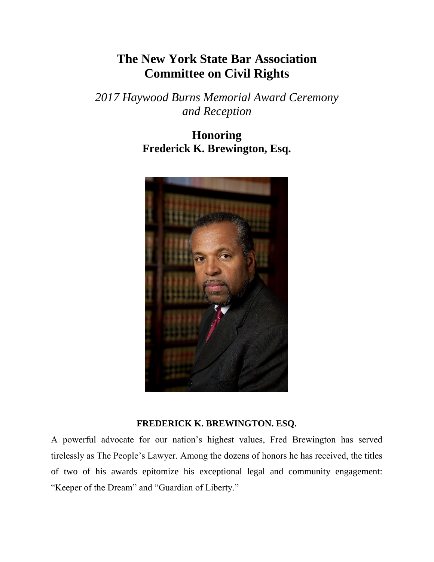## **The New York State Bar Association Committee on Civil Rights**

*2017 Haywood Burns Memorial Award Ceremony and Reception*

> **Honoring Frederick K. Brewington, Esq.**



## **FREDERICK K. BREWINGTON. ESQ.**

A powerful advocate for our nation's highest values, Fred Brewington has served tirelessly as The People's Lawyer. Among the dozens of honors he has received, the titles of two of his awards epitomize his exceptional legal and community engagement: "Keeper of the Dream" and "Guardian of Liberty."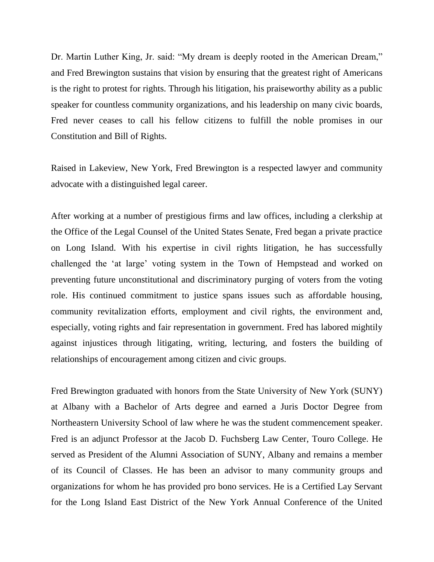Dr. Martin Luther King, Jr. said: "My dream is deeply rooted in the American Dream," and Fred Brewington sustains that vision by ensuring that the greatest right of Americans is the right to protest for rights. Through his litigation, his praiseworthy ability as a public speaker for countless community organizations, and his leadership on many civic boards, Fred never ceases to call his fellow citizens to fulfill the noble promises in our Constitution and Bill of Rights.

Raised in Lakeview, New York, Fred Brewington is a respected lawyer and community advocate with a distinguished legal career.

After working at a number of prestigious firms and law offices, including a clerkship at the Office of the Legal Counsel of the United States Senate, Fred began a private practice on Long Island. With his expertise in civil rights litigation, he has successfully challenged the 'at large' voting system in the Town of Hempstead and worked on preventing future unconstitutional and discriminatory purging of voters from the voting role. His continued commitment to justice spans issues such as affordable housing, community revitalization efforts, employment and civil rights, the environment and, especially, voting rights and fair representation in government. Fred has labored mightily against injustices through litigating, writing, lecturing, and fosters the building of relationships of encouragement among citizen and civic groups.

Fred Brewington graduated with honors from the State University of New York (SUNY) at Albany with a Bachelor of Arts degree and earned a Juris Doctor Degree from Northeastern University School of law where he was the student commencement speaker. Fred is an adjunct Professor at the Jacob D. Fuchsberg Law Center, Touro College. He served as President of the Alumni Association of SUNY, Albany and remains a member of its Council of Classes. He has been an advisor to many community groups and organizations for whom he has provided pro bono services. He is a Certified Lay Servant for the Long Island East District of the New York Annual Conference of the United